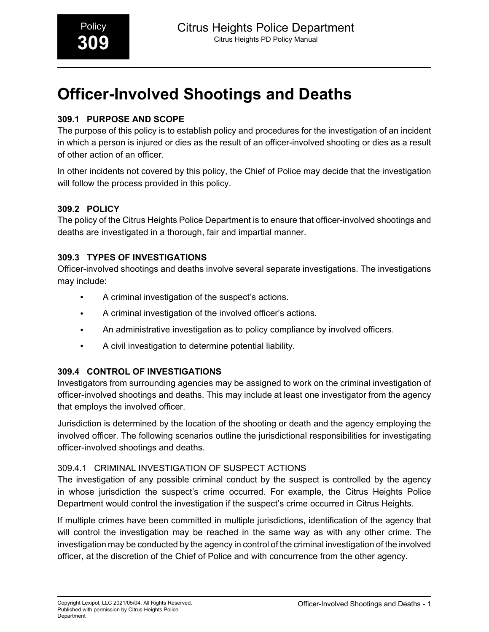## **309.1 PURPOSE AND SCOPE**

The purpose of this policy is to establish policy and procedures for the investigation of an incident in which a person is injured or dies as the result of an officer-involved shooting or dies as a result of other action of an officer.

In other incidents not covered by this policy, the Chief of Police may decide that the investigation will follow the process provided in this policy.

## **309.2 POLICY**

The policy of the Citrus Heights Police Department is to ensure that officer-involved shootings and deaths are investigated in a thorough, fair and impartial manner.

## **309.3 TYPES OF INVESTIGATIONS**

Officer-involved shootings and deaths involve several separate investigations. The investigations may include:

- A criminal investigation of the suspect's actions.
- A criminal investigation of the involved officer's actions.
- An administrative investigation as to policy compliance by involved officers.
- A civil investigation to determine potential liability.

## **309.4 CONTROL OF INVESTIGATIONS**

Investigators from surrounding agencies may be assigned to work on the criminal investigation of officer-involved shootings and deaths. This may include at least one investigator from the agency that employs the involved officer.

Jurisdiction is determined by the location of the shooting or death and the agency employing the involved officer. The following scenarios outline the jurisdictional responsibilities for investigating officer-involved shootings and deaths.

## 309.4.1 CRIMINAL INVESTIGATION OF SUSPECT ACTIONS

The investigation of any possible criminal conduct by the suspect is controlled by the agency in whose jurisdiction the suspect's crime occurred. For example, the Citrus Heights Police Department would control the investigation if the suspect's crime occurred in Citrus Heights.

If multiple crimes have been committed in multiple jurisdictions, identification of the agency that will control the investigation may be reached in the same way as with any other crime. The investigation may be conducted by the agency in control of the criminal investigation of the involved officer, at the discretion of the Chief of Police and with concurrence from the other agency.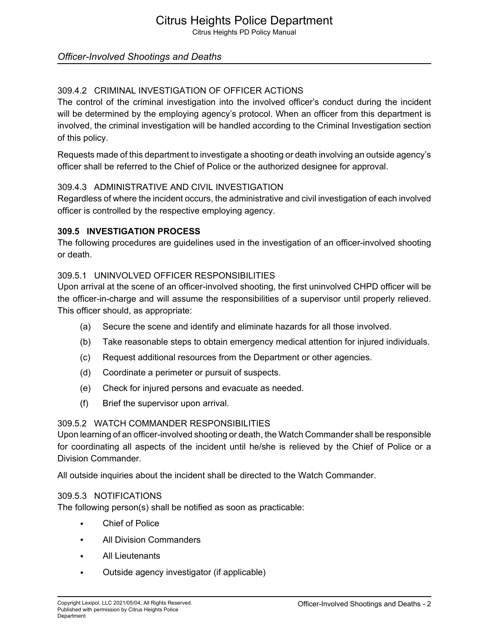## 309.4.2 CRIMINAL INVESTIGATION OF OFFICER ACTIONS

The control of the criminal investigation into the involved officer's conduct during the incident will be determined by the employing agency's protocol. When an officer from this department is involved, the criminal investigation will be handled according to the Criminal Investigation section of this policy.

Requests made of this department to investigate a shooting or death involving an outside agency's officer shall be referred to the Chief of Police or the authorized designee for approval.

#### 309.4.3 ADMINISTRATIVE AND CIVIL INVESTIGATION

Regardless of where the incident occurs, the administrative and civil investigation of each involved officer is controlled by the respective employing agency.

#### **309.5 INVESTIGATION PROCESS**

The following procedures are guidelines used in the investigation of an officer-involved shooting or death.

#### 309.5.1 UNINVOLVED OFFICER RESPONSIBILITIES

Upon arrival at the scene of an officer-involved shooting, the first uninvolved CHPD officer will be the officer-in-charge and will assume the responsibilities of a supervisor until properly relieved. This officer should, as appropriate:

- (a) Secure the scene and identify and eliminate hazards for all those involved.
- (b) Take reasonable steps to obtain emergency medical attention for injured individuals.
- (c) Request additional resources from the Department or other agencies.
- (d) Coordinate a perimeter or pursuit of suspects.
- (e) Check for injured persons and evacuate as needed.
- (f) Brief the supervisor upon arrival.

## 309.5.2 WATCH COMMANDER RESPONSIBILITIES

Upon learning of an officer-involved shooting or death, the Watch Commander shall be responsible for coordinating all aspects of the incident until he/she is relieved by the Chief of Police or a Division Commander.

All outside inquiries about the incident shall be directed to the Watch Commander.

#### 309.5.3 NOTIFICATIONS

The following person(s) shall be notified as soon as practicable:

- Chief of Police
- All Division Commanders
- All Lieutenants
- Outside agency investigator (if applicable)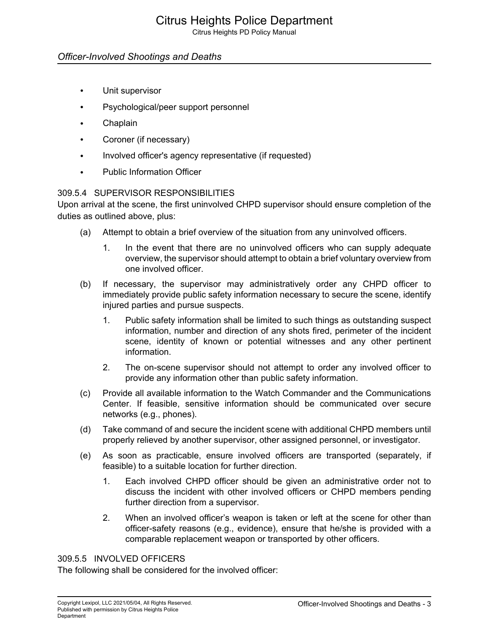## Citrus Heights Police Department

Citrus Heights PD Policy Manual

## *Officer-Involved Shootings and Deaths*

- Unit supervisor
- Psychological/peer support personnel
- Chaplain
- Coroner (if necessary)
- Involved officer's agency representative (if requested)
- Public Information Officer

#### 309.5.4 SUPERVISOR RESPONSIBILITIES

Upon arrival at the scene, the first uninvolved CHPD supervisor should ensure completion of the duties as outlined above, plus:

- (a) Attempt to obtain a brief overview of the situation from any uninvolved officers.
	- 1. In the event that there are no uninvolved officers who can supply adequate overview, the supervisor should attempt to obtain a brief voluntary overview from one involved officer.
- (b) If necessary, the supervisor may administratively order any CHPD officer to immediately provide public safety information necessary to secure the scene, identify injured parties and pursue suspects.
	- 1. Public safety information shall be limited to such things as outstanding suspect information, number and direction of any shots fired, perimeter of the incident scene, identity of known or potential witnesses and any other pertinent information.
	- 2. The on-scene supervisor should not attempt to order any involved officer to provide any information other than public safety information.
- (c) Provide all available information to the Watch Commander and the Communications Center. If feasible, sensitive information should be communicated over secure networks (e.g., phones).
- (d) Take command of and secure the incident scene with additional CHPD members until properly relieved by another supervisor, other assigned personnel, or investigator.
- (e) As soon as practicable, ensure involved officers are transported (separately, if feasible) to a suitable location for further direction.
	- 1. Each involved CHPD officer should be given an administrative order not to discuss the incident with other involved officers or CHPD members pending further direction from a supervisor.
	- 2. When an involved officer's weapon is taken or left at the scene for other than officer-safety reasons (e.g., evidence), ensure that he/she is provided with a comparable replacement weapon or transported by other officers.

#### 309.5.5 INVOLVED OFFICERS

The following shall be considered for the involved officer: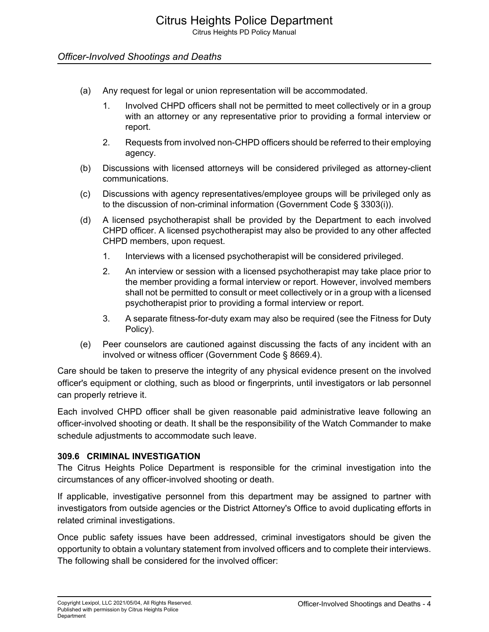- (a) Any request for legal or union representation will be accommodated.
	- 1. Involved CHPD officers shall not be permitted to meet collectively or in a group with an attorney or any representative prior to providing a formal interview or report.
	- 2. Requests from involved non-CHPD officers should be referred to their employing agency.
- (b) Discussions with licensed attorneys will be considered privileged as attorney-client communications.
- (c) Discussions with agency representatives/employee groups will be privileged only as to the discussion of non-criminal information (Government Code § 3303(i)).
- (d) A licensed psychotherapist shall be provided by the Department to each involved CHPD officer. A licensed psychotherapist may also be provided to any other affected CHPD members, upon request.
	- 1. Interviews with a licensed psychotherapist will be considered privileged.
	- 2. An interview or session with a licensed psychotherapist may take place prior to the member providing a formal interview or report. However, involved members shall not be permitted to consult or meet collectively or in a group with a licensed psychotherapist prior to providing a formal interview or report.
	- 3. A separate fitness-for-duty exam may also be required (see the Fitness for Duty Policy).
- (e) Peer counselors are cautioned against discussing the facts of any incident with an involved or witness officer (Government Code § 8669.4).

Care should be taken to preserve the integrity of any physical evidence present on the involved officer's equipment or clothing, such as blood or fingerprints, until investigators or lab personnel can properly retrieve it.

Each involved CHPD officer shall be given reasonable paid administrative leave following an officer-involved shooting or death. It shall be the responsibility of the Watch Commander to make schedule adjustments to accommodate such leave.

#### **309.6 CRIMINAL INVESTIGATION**

The Citrus Heights Police Department is responsible for the criminal investigation into the circumstances of any officer-involved shooting or death.

If applicable, investigative personnel from this department may be assigned to partner with investigators from outside agencies or the District Attorney's Office to avoid duplicating efforts in related criminal investigations.

Once public safety issues have been addressed, criminal investigators should be given the opportunity to obtain a voluntary statement from involved officers and to complete their interviews. The following shall be considered for the involved officer: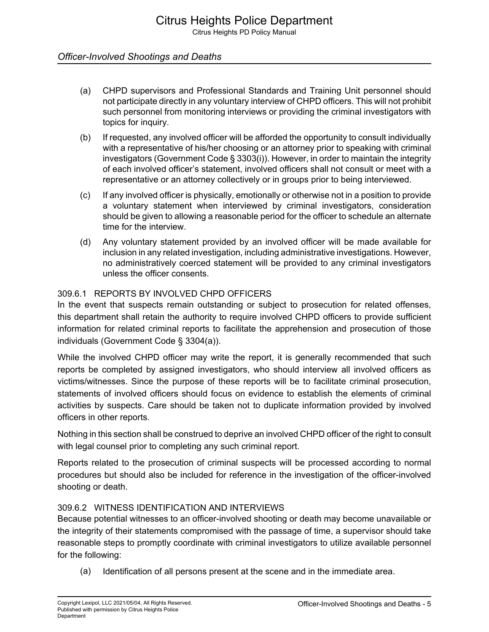- (a) CHPD supervisors and Professional Standards and Training Unit personnel should not participate directly in any voluntary interview of CHPD officers. This will not prohibit such personnel from monitoring interviews or providing the criminal investigators with topics for inquiry.
- (b) If requested, any involved officer will be afforded the opportunity to consult individually with a representative of his/her choosing or an attorney prior to speaking with criminal investigators (Government Code § 3303(i)). However, in order to maintain the integrity of each involved officer's statement, involved officers shall not consult or meet with a representative or an attorney collectively or in groups prior to being interviewed.
- (c) If any involved officer is physically, emotionally or otherwise not in a position to provide a voluntary statement when interviewed by criminal investigators, consideration should be given to allowing a reasonable period for the officer to schedule an alternate time for the interview.
- (d) Any voluntary statement provided by an involved officer will be made available for inclusion in any related investigation, including administrative investigations. However, no administratively coerced statement will be provided to any criminal investigators unless the officer consents.

## 309.6.1 REPORTS BY INVOLVED CHPD OFFICERS

In the event that suspects remain outstanding or subject to prosecution for related offenses, this department shall retain the authority to require involved CHPD officers to provide sufficient information for related criminal reports to facilitate the apprehension and prosecution of those individuals (Government Code § 3304(a)).

While the involved CHPD officer may write the report, it is generally recommended that such reports be completed by assigned investigators, who should interview all involved officers as victims/witnesses. Since the purpose of these reports will be to facilitate criminal prosecution, statements of involved officers should focus on evidence to establish the elements of criminal activities by suspects. Care should be taken not to duplicate information provided by involved officers in other reports.

Nothing in this section shall be construed to deprive an involved CHPD officer of the right to consult with legal counsel prior to completing any such criminal report.

Reports related to the prosecution of criminal suspects will be processed according to normal procedures but should also be included for reference in the investigation of the officer-involved shooting or death.

#### 309.6.2 WITNESS IDENTIFICATION AND INTERVIEWS

Because potential witnesses to an officer-involved shooting or death may become unavailable or the integrity of their statements compromised with the passage of time, a supervisor should take reasonable steps to promptly coordinate with criminal investigators to utilize available personnel for the following:

(a) Identification of all persons present at the scene and in the immediate area.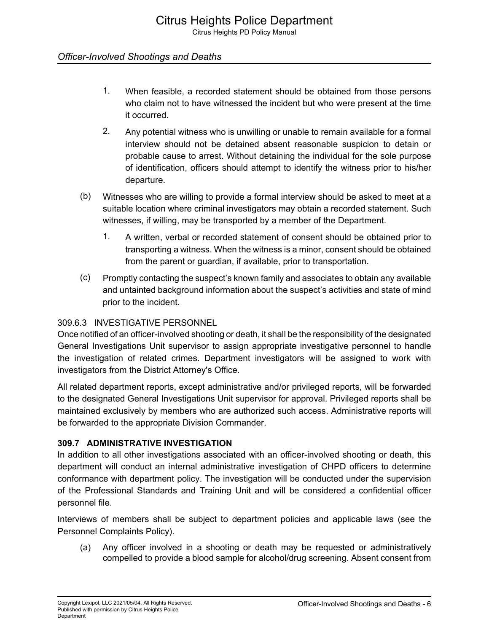- 1. When feasible, a recorded statement should be obtained from those persons who claim not to have witnessed the incident but who were present at the time it occurred.
- 2. Any potential witness who is unwilling or unable to remain available for a formal interview should not be detained absent reasonable suspicion to detain or probable cause to arrest. Without detaining the individual for the sole purpose of identification, officers should attempt to identify the witness prior to his/her departure.
- (b) Witnesses who are willing to provide a formal interview should be asked to meet at a suitable location where criminal investigators may obtain a recorded statement. Such witnesses, if willing, may be transported by a member of the Department.
	- 1. A written, verbal or recorded statement of consent should be obtained prior to transporting a witness. When the witness is a minor, consent should be obtained from the parent or guardian, if available, prior to transportation.
- (c) Promptly contacting the suspect's known family and associates to obtain any available and untainted background information about the suspect's activities and state of mind prior to the incident.

## 309.6.3 INVESTIGATIVE PERSONNEL

Once notified of an officer-involved shooting or death, it shall be the responsibility of the designated General Investigations Unit supervisor to assign appropriate investigative personnel to handle the investigation of related crimes. Department investigators will be assigned to work with investigators from the District Attorney's Office.

All related department reports, except administrative and/or privileged reports, will be forwarded to the designated General Investigations Unit supervisor for approval. Privileged reports shall be maintained exclusively by members who are authorized such access. Administrative reports will be forwarded to the appropriate Division Commander.

#### **309.7 ADMINISTRATIVE INVESTIGATION**

In addition to all other investigations associated with an officer-involved shooting or death, this department will conduct an internal administrative investigation of CHPD officers to determine conformance with department policy. The investigation will be conducted under the supervision of the Professional Standards and Training Unit and will be considered a confidential officer personnel file.

Interviews of members shall be subject to department policies and applicable laws (see the Personnel Complaints Policy).

(a) Any officer involved in a shooting or death may be requested or administratively compelled to provide a blood sample for alcohol/drug screening. Absent consent from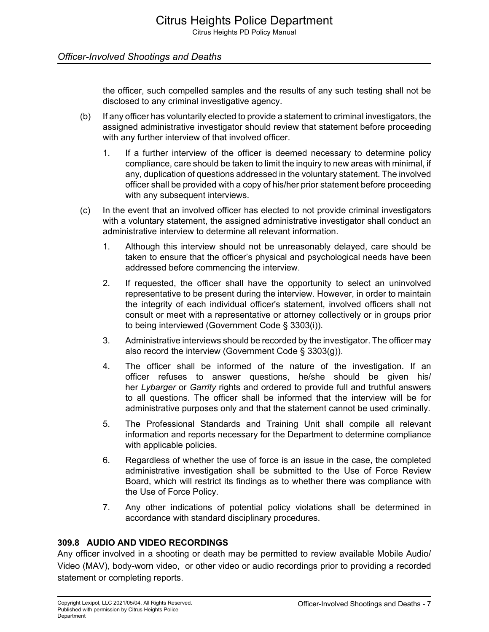the officer, such compelled samples and the results of any such testing shall not be disclosed to any criminal investigative agency.

- (b) If any officer has voluntarily elected to provide a statement to criminal investigators, the assigned administrative investigator should review that statement before proceeding with any further interview of that involved officer.
	- 1. If a further interview of the officer is deemed necessary to determine policy compliance, care should be taken to limit the inquiry to new areas with minimal, if any, duplication of questions addressed in the voluntary statement. The involved officer shall be provided with a copy of his/her prior statement before proceeding with any subsequent interviews.
- (c) In the event that an involved officer has elected to not provide criminal investigators with a voluntary statement, the assigned administrative investigator shall conduct an administrative interview to determine all relevant information.
	- 1. Although this interview should not be unreasonably delayed, care should be taken to ensure that the officer's physical and psychological needs have been addressed before commencing the interview.
	- 2. If requested, the officer shall have the opportunity to select an uninvolved representative to be present during the interview. However, in order to maintain the integrity of each individual officer's statement, involved officers shall not consult or meet with a representative or attorney collectively or in groups prior to being interviewed (Government Code § 3303(i)).
	- 3. Administrative interviews should be recorded by the investigator. The officer may also record the interview (Government Code § 3303(g)).
	- 4. The officer shall be informed of the nature of the investigation. If an officer refuses to answer questions, he/she should be given his/ her *Lybarger* or *Garrity* rights and ordered to provide full and truthful answers to all questions. The officer shall be informed that the interview will be for administrative purposes only and that the statement cannot be used criminally.
	- 5. The Professional Standards and Training Unit shall compile all relevant information and reports necessary for the Department to determine compliance with applicable policies.
	- 6. Regardless of whether the use of force is an issue in the case, the completed administrative investigation shall be submitted to the Use of Force Review Board, which will restrict its findings as to whether there was compliance with the Use of Force Policy.
	- 7. Any other indications of potential policy violations shall be determined in accordance with standard disciplinary procedures.

## **309.8 AUDIO AND VIDEO RECORDINGS**

Any officer involved in a shooting or death may be permitted to review available Mobile Audio/ Video (MAV), body-worn video, or other video or audio recordings prior to providing a recorded statement or completing reports.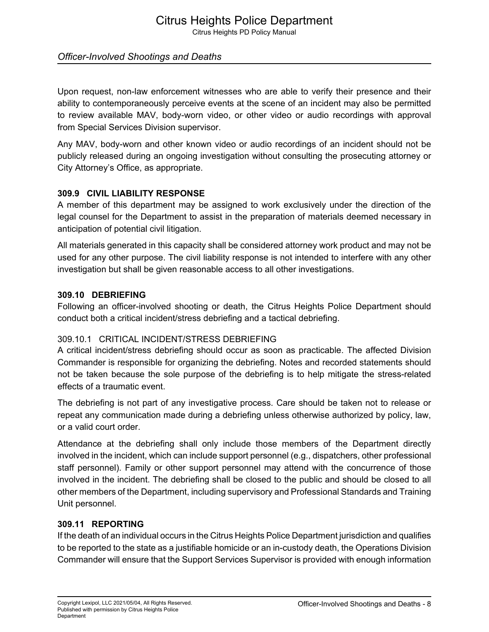Upon request, non-law enforcement witnesses who are able to verify their presence and their ability to contemporaneously perceive events at the scene of an incident may also be permitted to review available MAV, body-worn video, or other video or audio recordings with approval from Special Services Division supervisor.

Any MAV, body-worn and other known video or audio recordings of an incident should not be publicly released during an ongoing investigation without consulting the prosecuting attorney or City Attorney's Office, as appropriate.

## **309.9 CIVIL LIABILITY RESPONSE**

A member of this department may be assigned to work exclusively under the direction of the legal counsel for the Department to assist in the preparation of materials deemed necessary in anticipation of potential civil litigation.

All materials generated in this capacity shall be considered attorney work product and may not be used for any other purpose. The civil liability response is not intended to interfere with any other investigation but shall be given reasonable access to all other investigations.

#### **309.10 DEBRIEFING**

Following an officer-involved shooting or death, the Citrus Heights Police Department should conduct both a critical incident/stress debriefing and a tactical debriefing.

## 309.10.1 CRITICAL INCIDENT/STRESS DEBRIEFING

A critical incident/stress debriefing should occur as soon as practicable. The affected Division Commander is responsible for organizing the debriefing. Notes and recorded statements should not be taken because the sole purpose of the debriefing is to help mitigate the stress-related effects of a traumatic event.

The debriefing is not part of any investigative process. Care should be taken not to release or repeat any communication made during a debriefing unless otherwise authorized by policy, law, or a valid court order.

Attendance at the debriefing shall only include those members of the Department directly involved in the incident, which can include support personnel (e.g., dispatchers, other professional staff personnel). Family or other support personnel may attend with the concurrence of those involved in the incident. The debriefing shall be closed to the public and should be closed to all other members of the Department, including supervisory and Professional Standards and Training Unit personnel.

#### **309.11 REPORTING**

If the death of an individual occurs in the Citrus Heights Police Department jurisdiction and qualifies to be reported to the state as a justifiable homicide or an in-custody death, the Operations Division Commander will ensure that the Support Services Supervisor is provided with enough information